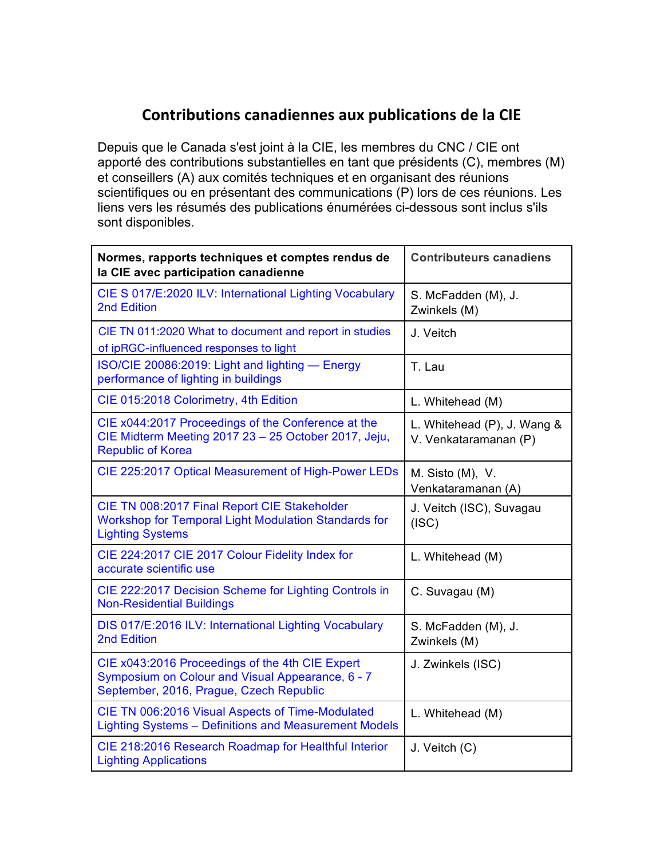## **Contributions canadiennes aux publications de la CIE**

Depuis que le Canada s'est joint à la CIE, les membres du CNC / CIE ont apporté des contributions substantielles en tant que présidents (C), membres (M) et conseillers (A) aux comités techniques et en organisant des réunions scientifiques ou en présentant des communications (P) lors de ces réunions. Les liens vers les résumés des publications énumérées ci-dessous sont inclus s'ils sont disponibles.

| Normes, rapports techniques et comptes rendus de<br>la CIE avec participation canadienne                                                       | <b>Contributeurs canadiens</b>                       |
|------------------------------------------------------------------------------------------------------------------------------------------------|------------------------------------------------------|
| CIE S 017/E:2020 ILV: International Lighting Vocabulary<br>2nd Edition                                                                         | S. McFadden (M), J.<br>Zwinkels (M)                  |
| CIE TN 011:2020 What to document and report in studies<br>of ipRGC-influenced responses to light                                               | J. Veitch                                            |
| ISO/CIE 20086:2019: Light and lighting - Energy<br>performance of lighting in buildings                                                        | T. Lau                                               |
| CIE 015:2018 Colorimetry, 4th Edition                                                                                                          | L. Whitehead (M)                                     |
| CIE x044:2017 Proceedings of the Conference at the<br>CIE Midterm Meeting 2017 23 - 25 October 2017, Jeju,<br><b>Republic of Korea</b>         | L. Whitehead (P), J. Wang &<br>V. Venkataramanan (P) |
| CIE 225:2017 Optical Measurement of High-Power LEDs                                                                                            | M. Sisto (M), V.<br>Venkataramanan (A)               |
| CIE TN 008:2017 Final Report CIE Stakeholder<br><b>Workshop for Temporal Light Modulation Standards for</b><br><b>Lighting Systems</b>         | J. Veitch (ISC), Suvagau<br>(ISC)                    |
| CIE 224:2017 CIE 2017 Colour Fidelity Index for<br>accurate scientific use                                                                     | L. Whitehead (M)                                     |
| CIE 222:2017 Decision Scheme for Lighting Controls in<br><b>Non-Residential Buildings</b>                                                      | C. Suvagau (M)                                       |
| DIS 017/E:2016 ILV: International Lighting Vocabulary<br>2nd Edition                                                                           | S. McFadden (M), J.<br>Zwinkels (M)                  |
| CIE x043:2016 Proceedings of the 4th CIE Expert<br>Symposium on Colour and Visual Appearance, 6 - 7<br>September, 2016, Prague, Czech Republic | J. Zwinkels (ISC)                                    |
| CIE TN 006:2016 Visual Aspects of Time-Modulated<br><b>Lighting Systems - Definitions and Measurement Models</b>                               | L. Whitehead (M)                                     |
| CIE 218:2016 Research Roadmap for Healthful Interior<br><b>Lighting Applications</b>                                                           | J. Veitch (C)                                        |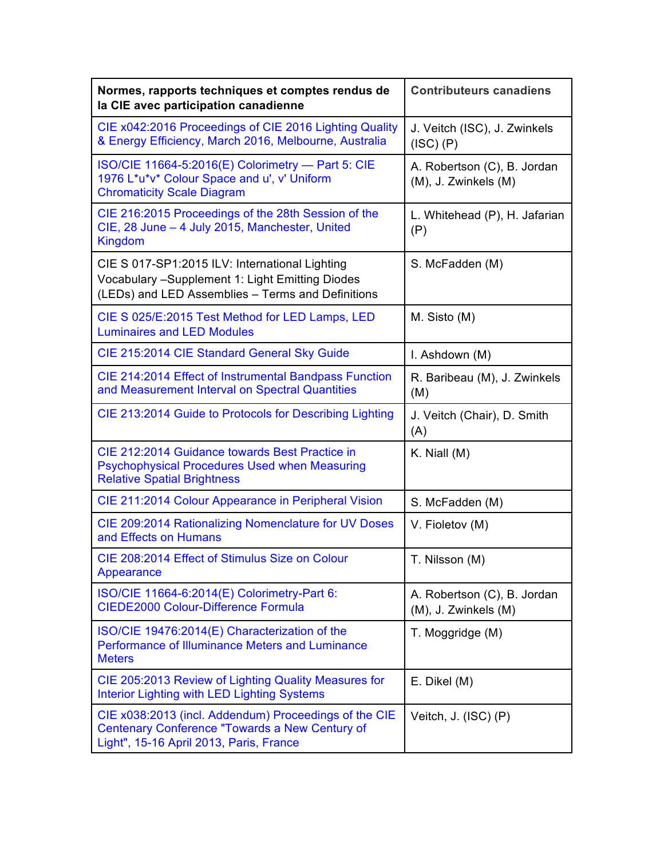| Normes, rapports techniques et comptes rendus de<br>la CIE avec participation canadienne                                                                | <b>Contributeurs canadiens</b>                      |
|---------------------------------------------------------------------------------------------------------------------------------------------------------|-----------------------------------------------------|
| CIE x042:2016 Proceedings of CIE 2016 Lighting Quality<br>& Energy Efficiency, March 2016, Melbourne, Australia                                         | J. Veitch (ISC), J. Zwinkels<br>(ISC) (P)           |
| ISO/CIE 11664-5:2016(E) Colorimetry - Part 5: CIE<br>1976 L*u*v* Colour Space and u', v' Uniform<br><b>Chromaticity Scale Diagram</b>                   | A. Robertson (C), B. Jordan<br>(M), J. Zwinkels (M) |
| CIE 216:2015 Proceedings of the 28th Session of the<br>CIE, 28 June - 4 July 2015, Manchester, United<br><b>Kingdom</b>                                 | L. Whitehead (P), H. Jafarian<br>(P)                |
| CIE S 017-SP1:2015 ILV: International Lighting<br>Vocabulary - Supplement 1: Light Emitting Diodes<br>(LEDs) and LED Assemblies - Terms and Definitions | S. McFadden (M)                                     |
| CIE S 025/E:2015 Test Method for LED Lamps, LED<br><b>Luminaires and LED Modules</b>                                                                    | M. Sisto (M)                                        |
| CIE 215:2014 CIE Standard General Sky Guide                                                                                                             | I. Ashdown (M)                                      |
| CIE 214:2014 Effect of Instrumental Bandpass Function<br>and Measurement Interval on Spectral Quantities                                                | R. Baribeau (M), J. Zwinkels<br>(M)                 |
| CIE 213:2014 Guide to Protocols for Describing Lighting                                                                                                 | J. Veitch (Chair), D. Smith<br>(A)                  |
| CIE 212:2014 Guidance towards Best Practice in<br>Psychophysical Procedures Used when Measuring<br><b>Relative Spatial Brightness</b>                   | K. Niall $(M)$                                      |
| CIE 211:2014 Colour Appearance in Peripheral Vision                                                                                                     | S. McFadden (M)                                     |
| CIE 209:2014 Rationalizing Nomenclature for UV Doses<br>and Effects on Humans                                                                           | V. Fioletov (M)                                     |
| CIE 208:2014 Effect of Stimulus Size on Colour<br>Appearance                                                                                            | T. Nilsson (M)                                      |
| ISO/CIE 11664-6:2014(E) Colorimetry-Part 6:<br><b>CIEDE2000 Colour-Difference Formula</b>                                                               | A. Robertson (C), B. Jordan<br>(M), J. Zwinkels (M) |
| ISO/CIE 19476:2014(E) Characterization of the<br>Performance of Illuminance Meters and Luminance<br><b>Meters</b>                                       | T. Moggridge (M)                                    |
| CIE 205:2013 Review of Lighting Quality Measures for<br>Interior Lighting with LED Lighting Systems                                                     | E. Dikel (M)                                        |
| CIE x038:2013 (incl. Addendum) Proceedings of the CIE<br>Centenary Conference "Towards a New Century of<br>Light", 15-16 April 2013, Paris, France      | Veitch, J. (ISC) (P)                                |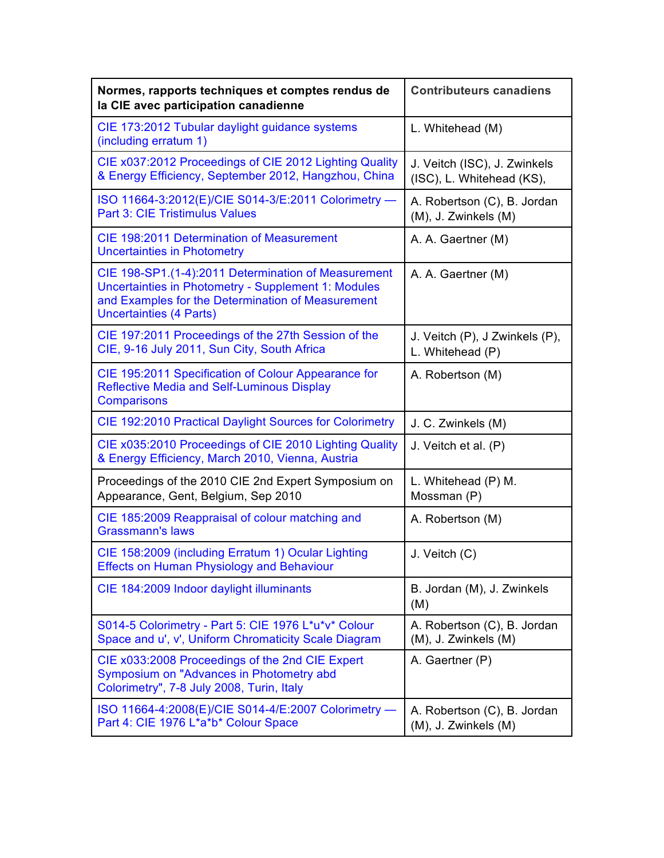| Normes, rapports techniques et comptes rendus de<br>la CIE avec participation canadienne                                                                                                          | <b>Contributeurs canadiens</b>                            |
|---------------------------------------------------------------------------------------------------------------------------------------------------------------------------------------------------|-----------------------------------------------------------|
| CIE 173:2012 Tubular daylight guidance systems<br>(including erratum 1)                                                                                                                           | L. Whitehead (M)                                          |
| CIE x037:2012 Proceedings of CIE 2012 Lighting Quality<br>& Energy Efficiency, September 2012, Hangzhou, China                                                                                    | J. Veitch (ISC), J. Zwinkels<br>(ISC), L. Whitehead (KS), |
| ISO 11664-3:2012(E)/CIE S014-3/E:2011 Colorimetry -<br><b>Part 3: CIE Tristimulus Values</b>                                                                                                      | A. Robertson (C), B. Jordan<br>(M), J. Zwinkels (M)       |
| <b>CIE 198:2011 Determination of Measurement</b><br><b>Uncertainties in Photometry</b>                                                                                                            | A. A. Gaertner (M)                                        |
| CIE 198-SP1.(1-4):2011 Determination of Measurement<br>Uncertainties in Photometry - Supplement 1: Modules<br>and Examples for the Determination of Measurement<br><b>Uncertainties (4 Parts)</b> | A. A. Gaertner (M)                                        |
| CIE 197:2011 Proceedings of the 27th Session of the<br>CIE, 9-16 July 2011, Sun City, South Africa                                                                                                | J. Veitch (P), J Zwinkels (P),<br>L. Whitehead (P)        |
| CIE 195:2011 Specification of Colour Appearance for<br><b>Reflective Media and Self-Luminous Display</b><br><b>Comparisons</b>                                                                    | A. Robertson (M)                                          |
| CIE 192:2010 Practical Daylight Sources for Colorimetry                                                                                                                                           | J. C. Zwinkels (M)                                        |
| CIE x035:2010 Proceedings of CIE 2010 Lighting Quality<br>& Energy Efficiency, March 2010, Vienna, Austria                                                                                        | J. Veitch et al. (P)                                      |
| Proceedings of the 2010 CIE 2nd Expert Symposium on<br>Appearance, Gent, Belgium, Sep 2010                                                                                                        | L. Whitehead (P) M.<br>Mossman (P)                        |
| CIE 185:2009 Reappraisal of colour matching and<br><b>Grassmann's laws</b>                                                                                                                        | A. Robertson (M)                                          |
| CIE 158:2009 (including Erratum 1) Ocular Lighting<br><b>Effects on Human Physiology and Behaviour</b>                                                                                            | J. Veitch (C)                                             |
| CIE 184:2009 Indoor daylight illuminants                                                                                                                                                          | B. Jordan (M), J. Zwinkels<br>(M)                         |
| S014-5 Colorimetry - Part 5: CIE 1976 L*u*v* Colour<br>Space and u', v', Uniform Chromaticity Scale Diagram                                                                                       | A. Robertson (C), B. Jordan<br>(M), J. Zwinkels (M)       |
| CIE x033:2008 Proceedings of the 2nd CIE Expert<br>Symposium on "Advances in Photometry abd<br>Colorimetry", 7-8 July 2008, Turin, Italy                                                          | A. Gaertner (P)                                           |
| ISO 11664-4:2008(E)/CIE S014-4/E:2007 Colorimetry -<br>Part 4: CIE 1976 L*a*b* Colour Space                                                                                                       | A. Robertson (C), B. Jordan<br>(M), J. Zwinkels (M)       |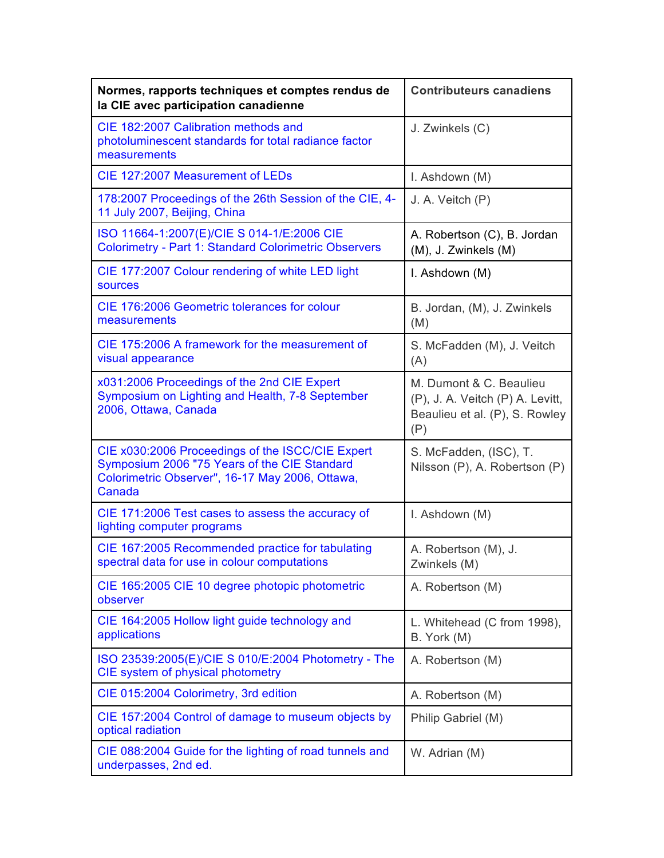| Normes, rapports techniques et comptes rendus de<br>la CIE avec participation canadienne                                                                      | <b>Contributeurs canadiens</b>                                                                       |
|---------------------------------------------------------------------------------------------------------------------------------------------------------------|------------------------------------------------------------------------------------------------------|
| CIE 182:2007 Calibration methods and<br>photoluminescent standards for total radiance factor<br>measurements                                                  | J. Zwinkels (C)                                                                                      |
| CIE 127:2007 Measurement of LEDs                                                                                                                              | I. Ashdown (M)                                                                                       |
| 178:2007 Proceedings of the 26th Session of the CIE, 4-<br>11 July 2007, Beijing, China                                                                       | J. A. Veitch (P)                                                                                     |
| ISO 11664-1:2007(E)/CIE S 014-1/E:2006 CIE<br><b>Colorimetry - Part 1: Standard Colorimetric Observers</b>                                                    | A. Robertson (C), B. Jordan<br>(M), J. Zwinkels (M)                                                  |
| CIE 177:2007 Colour rendering of white LED light<br><b>sources</b>                                                                                            | I. Ashdown (M)                                                                                       |
| CIE 176:2006 Geometric tolerances for colour<br>measurements                                                                                                  | B. Jordan, (M), J. Zwinkels<br>(M)                                                                   |
| CIE 175:2006 A framework for the measurement of<br>visual appearance                                                                                          | S. McFadden (M), J. Veitch<br>(A)                                                                    |
| x031:2006 Proceedings of the 2nd CIE Expert<br>Symposium on Lighting and Health, 7-8 September<br>2006, Ottawa, Canada                                        | M. Dumont & C. Beaulieu<br>(P), J. A. Veitch (P) A. Levitt,<br>Beaulieu et al. (P), S. Rowley<br>(P) |
| CIE x030:2006 Proceedings of the ISCC/CIE Expert<br>Symposium 2006 "75 Years of the CIE Standard<br>Colorimetric Observer", 16-17 May 2006, Ottawa,<br>Canada | S. McFadden, (ISC), T.<br>Nilsson (P), A. Robertson (P)                                              |
| CIE 171:2006 Test cases to assess the accuracy of<br>lighting computer programs                                                                               | I. Ashdown (M)                                                                                       |
| CIE 167:2005 Recommended practice for tabulating<br>spectral data for use in colour computations                                                              | A. Robertson (M), J.<br>Zwinkels (M)                                                                 |
| CIE 165:2005 CIE 10 degree photopic photometric<br>observer                                                                                                   | A. Robertson (M)                                                                                     |
| CIE 164:2005 Hollow light guide technology and<br>applications                                                                                                | L. Whitehead (C from 1998),<br>B. York (M)                                                           |
| ISO 23539:2005(E)/CIE S 010/E:2004 Photometry - The<br>CIE system of physical photometry                                                                      | A. Robertson (M)                                                                                     |
| CIE 015:2004 Colorimetry, 3rd edition                                                                                                                         | A. Robertson (M)                                                                                     |
| CIE 157:2004 Control of damage to museum objects by<br>optical radiation                                                                                      | Philip Gabriel (M)                                                                                   |
| CIE 088:2004 Guide for the lighting of road tunnels and<br>underpasses, 2nd ed.                                                                               | W. Adrian (M)                                                                                        |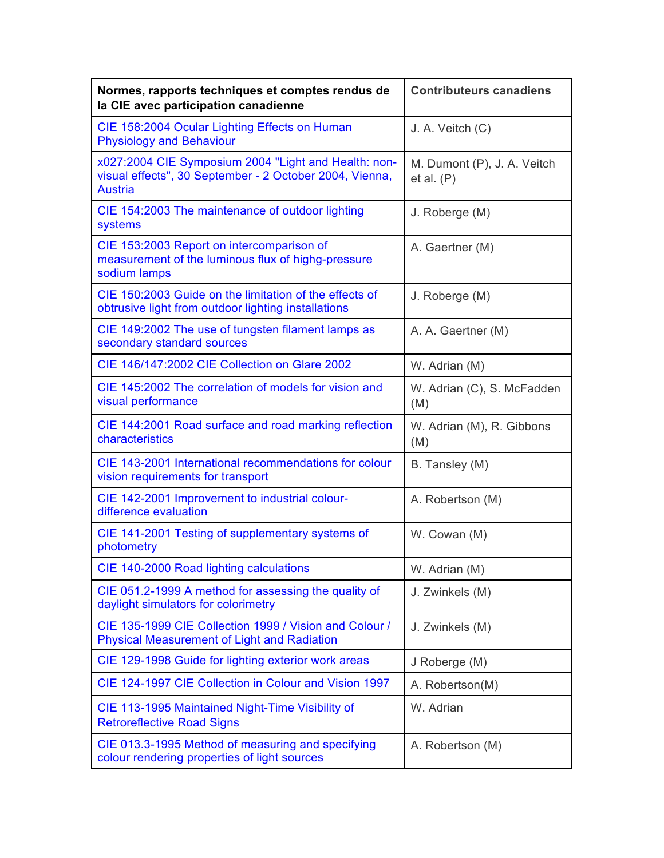| Normes, rapports techniques et comptes rendus de<br>la CIE avec participation canadienne                                          | <b>Contributeurs canadiens</b>            |
|-----------------------------------------------------------------------------------------------------------------------------------|-------------------------------------------|
| CIE 158:2004 Ocular Lighting Effects on Human<br><b>Physiology and Behaviour</b>                                                  | J. A. Veitch (C)                          |
| x027:2004 CIE Symposium 2004 "Light and Health: non-<br>visual effects", 30 September - 2 October 2004, Vienna,<br><b>Austria</b> | M. Dumont (P), J. A. Veitch<br>et al. (P) |
| CIE 154:2003 The maintenance of outdoor lighting<br>systems                                                                       | J. Roberge (M)                            |
| CIE 153:2003 Report on intercomparison of<br>measurement of the luminous flux of highg-pressure<br>sodium lamps                   | A. Gaertner (M)                           |
| CIE 150:2003 Guide on the limitation of the effects of<br>obtrusive light from outdoor lighting installations                     | J. Roberge (M)                            |
| CIE 149:2002 The use of tungsten filament lamps as<br>secondary standard sources                                                  | A. A. Gaertner (M)                        |
| CIE 146/147:2002 CIE Collection on Glare 2002                                                                                     | W. Adrian (M)                             |
| CIE 145:2002 The correlation of models for vision and<br>visual performance                                                       | W. Adrian (C), S. McFadden<br>(M)         |
| CIE 144:2001 Road surface and road marking reflection<br>characteristics                                                          | W. Adrian (M), R. Gibbons<br>(M)          |
| CIE 143-2001 International recommendations for colour<br>vision requirements for transport                                        | B. Tansley (M)                            |
| CIE 142-2001 Improvement to industrial colour-<br>difference evaluation                                                           | A. Robertson (M)                          |
| CIE 141-2001 Testing of supplementary systems of<br>photometry                                                                    | W. Cowan (M)                              |
| CIE 140-2000 Road lighting calculations                                                                                           | W. Adrian (M)                             |
| CIE 051.2-1999 A method for assessing the quality of<br>daylight simulators for colorimetry                                       | J. Zwinkels (M)                           |
| CIE 135-1999 CIE Collection 1999 / Vision and Colour /<br><b>Physical Measurement of Light and Radiation</b>                      | J. Zwinkels (M)                           |
| CIE 129-1998 Guide for lighting exterior work areas                                                                               | J Roberge (M)                             |
| CIE 124-1997 CIE Collection in Colour and Vision 1997                                                                             | A. Robertson(M)                           |
| CIE 113-1995 Maintained Night-Time Visibility of<br><b>Retroreflective Road Signs</b>                                             | W. Adrian                                 |
| CIE 013.3-1995 Method of measuring and specifying<br>colour rendering properties of light sources                                 | A. Robertson (M)                          |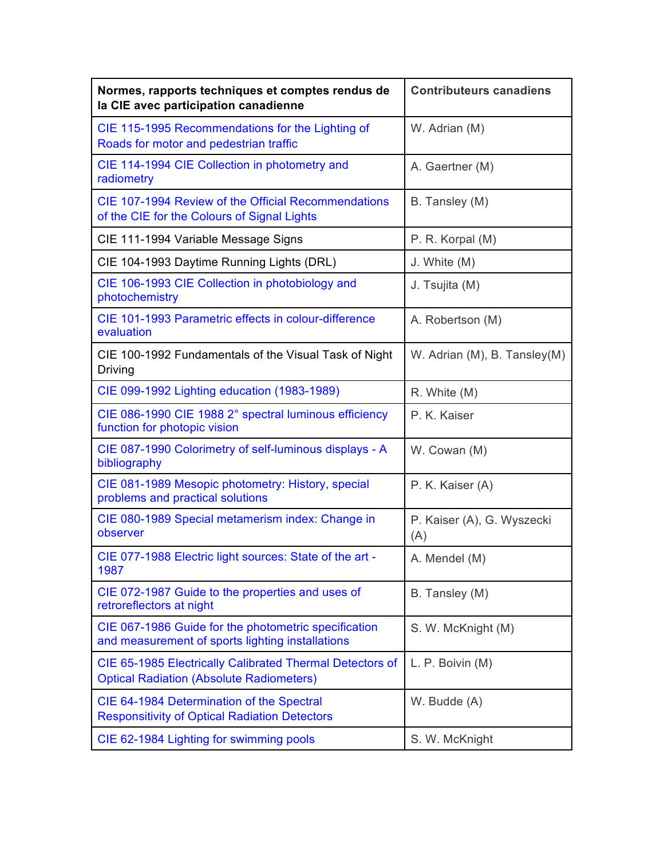| Normes, rapports techniques et comptes rendus de<br>la CIE avec participation canadienne                    | <b>Contributeurs canadiens</b>    |
|-------------------------------------------------------------------------------------------------------------|-----------------------------------|
| CIE 115-1995 Recommendations for the Lighting of<br>Roads for motor and pedestrian traffic                  | W. Adrian (M)                     |
| CIE 114-1994 CIE Collection in photometry and<br>radiometry                                                 | A. Gaertner (M)                   |
| CIE 107-1994 Review of the Official Recommendations<br>of the CIE for the Colours of Signal Lights          | B. Tansley (M)                    |
| CIE 111-1994 Variable Message Signs                                                                         | P. R. Korpal (M)                  |
| CIE 104-1993 Daytime Running Lights (DRL)                                                                   | J. White (M)                      |
| CIE 106-1993 CIE Collection in photobiology and<br>photochemistry                                           | J. Tsujita (M)                    |
| CIE 101-1993 Parametric effects in colour-difference<br>evaluation                                          | A. Robertson (M)                  |
| CIE 100-1992 Fundamentals of the Visual Task of Night<br>Driving                                            | W. Adrian (M), B. Tansley(M)      |
| CIE 099-1992 Lighting education (1983-1989)                                                                 | R. White (M)                      |
| CIE 086-1990 CIE 1988 2° spectral luminous efficiency<br>function for photopic vision                       | P. K. Kaiser                      |
| CIE 087-1990 Colorimetry of self-luminous displays - A<br>bibliography                                      | W. Cowan (M)                      |
| CIE 081-1989 Mesopic photometry: History, special<br>problems and practical solutions                       | P. K. Kaiser (A)                  |
| CIE 080-1989 Special metamerism index: Change in<br>observer                                                | P. Kaiser (A), G. Wyszecki<br>(A) |
| CIE 077-1988 Electric light sources: State of the art -<br>1987                                             | A. Mendel (M)                     |
| CIE 072-1987 Guide to the properties and uses of<br>retroreflectors at night                                | B. Tansley (M)                    |
| CIE 067-1986 Guide for the photometric specification<br>and measurement of sports lighting installations    | S. W. McKnight (M)                |
| CIE 65-1985 Electrically Calibrated Thermal Detectors of<br><b>Optical Radiation (Absolute Radiometers)</b> | L. P. Boivin (M)                  |
| CIE 64-1984 Determination of the Spectral<br><b>Responsitivity of Optical Radiation Detectors</b>           | W. Budde (A)                      |
| CIE 62-1984 Lighting for swimming pools                                                                     | S. W. McKnight                    |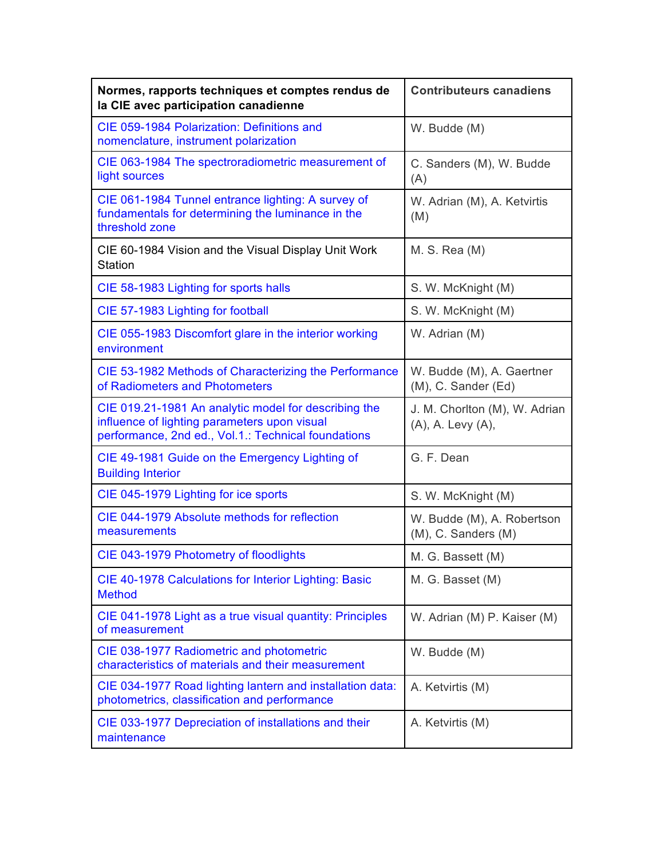| Normes, rapports techniques et comptes rendus de<br>la CIE avec participation canadienne                                                                    | <b>Contributeurs canadiens</b>                         |
|-------------------------------------------------------------------------------------------------------------------------------------------------------------|--------------------------------------------------------|
| CIE 059-1984 Polarization: Definitions and<br>nomenclature, instrument polarization                                                                         | W. Budde (M)                                           |
| CIE 063-1984 The spectroradiometric measurement of<br>light sources                                                                                         | C. Sanders (M), W. Budde<br>(A)                        |
| CIE 061-1984 Tunnel entrance lighting: A survey of<br>fundamentals for determining the luminance in the<br>threshold zone                                   | W. Adrian (M), A. Ketvirtis<br>(M)                     |
| CIE 60-1984 Vision and the Visual Display Unit Work<br><b>Station</b>                                                                                       | M. S. Rea(M)                                           |
| CIE 58-1983 Lighting for sports halls                                                                                                                       | S. W. McKnight (M)                                     |
| CIE 57-1983 Lighting for football                                                                                                                           | S. W. McKnight (M)                                     |
| CIE 055-1983 Discomfort glare in the interior working<br>environment                                                                                        | W. Adrian (M)                                          |
| CIE 53-1982 Methods of Characterizing the Performance<br>of Radiometers and Photometers                                                                     | W. Budde (M), A. Gaertner<br>(M), C. Sander (Ed)       |
| CIE 019.21-1981 An analytic model for describing the<br>influence of lighting parameters upon visual<br>performance, 2nd ed., Vol.1.: Technical foundations | J. M. Chorlton (M), W. Adrian<br>(A), A. Levy (A),     |
| CIE 49-1981 Guide on the Emergency Lighting of<br><b>Building Interior</b>                                                                                  | G. F. Dean                                             |
| CIE 045-1979 Lighting for ice sports                                                                                                                        | S. W. McKnight (M)                                     |
| CIE 044-1979 Absolute methods for reflection<br>measurements                                                                                                | W. Budde (M), A. Robertson<br>$(M)$ , C. Sanders $(M)$ |
| CIE 043-1979 Photometry of floodlights                                                                                                                      | M. G. Bassett (M)                                      |
| CIE 40-1978 Calculations for Interior Lighting: Basic<br><b>Method</b>                                                                                      | M. G. Basset (M)                                       |
| CIE 041-1978 Light as a true visual quantity: Principles<br>of measurement                                                                                  | W. Adrian (M) P. Kaiser (M)                            |
| CIE 038-1977 Radiometric and photometric<br>characteristics of materials and their measurement                                                              | W. Budde (M)                                           |
| CIE 034-1977 Road lighting lantern and installation data:<br>photometrics, classification and performance                                                   | A. Ketvirtis (M)                                       |
| CIE 033-1977 Depreciation of installations and their<br>maintenance                                                                                         | A. Ketvirtis (M)                                       |